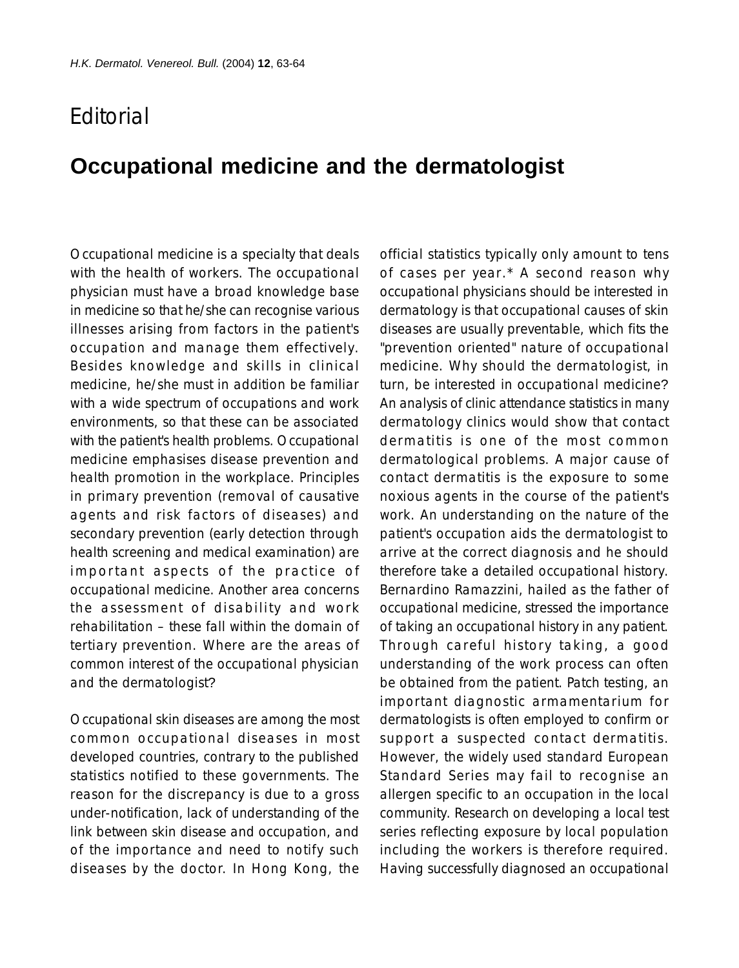## **F**ditorial

## **Occupational medicine and the dermatologist**

Occupational medicine is a specialty that deals with the health of workers. The occupational physician must have a broad knowledge base in medicine so that he/she can recognise various illnesses arising from factors in the patient's occupation and manage them effectively. Besides knowledge and skills in clinical medicine, he/she must in addition be familiar with a wide spectrum of occupations and work environments, so that these can be associated with the patient's health problems. Occupational medicine emphasises disease prevention and health promotion in the workplace. Principles in primary prevention (removal of causative agents and risk factors of diseases) and secondary prevention (early detection through health screening and medical examination) are important aspects of the practice of occupational medicine. Another area concerns the assessment of disability and work rehabilitation – these fall within the domain of tertiary prevention. Where are the areas of common interest of the occupational physician and the dermatologist?

Occupational skin diseases are among the most common occupational diseases in most developed countries, contrary to the published statistics notified to these governments. The reason for the discrepancy is due to a gross under-notification, lack of understanding of the link between skin disease and occupation, and of the importance and need to notify such diseases by the doctor. In Hong Kong, the

official statistics typically only amount to tens of cases per year.\* A second reason why occupational physicians should be interested in dermatology is that occupational causes of skin diseases are usually preventable, which fits the "prevention oriented" nature of occupational medicine. Why should the dermatologist, in turn, be interested in occupational medicine? An analysis of clinic attendance statistics in many dermatology clinics would show that contact dermatitis is one of the most common dermatological problems. A major cause of contact dermatitis is the exposure to some noxious agents in the course of the patient's work. An understanding on the nature of the patient's occupation aids the dermatologist to arrive at the correct diagnosis and he should therefore take a detailed occupational history. Bernardino Ramazzini, hailed as the father of occupational medicine, stressed the importance of taking an occupational history in any patient. Through careful history taking, a good understanding of the work process can often be obtained from the patient. Patch testing, an important diagnostic armamentarium for dermatologists is often employed to confirm or support a suspected contact dermatitis. However, the widely used standard European Standard Series may fail to recognise an allergen specific to an occupation in the local community. Research on developing a local test series reflecting exposure by local population including the workers is therefore required. Having successfully diagnosed an occupational